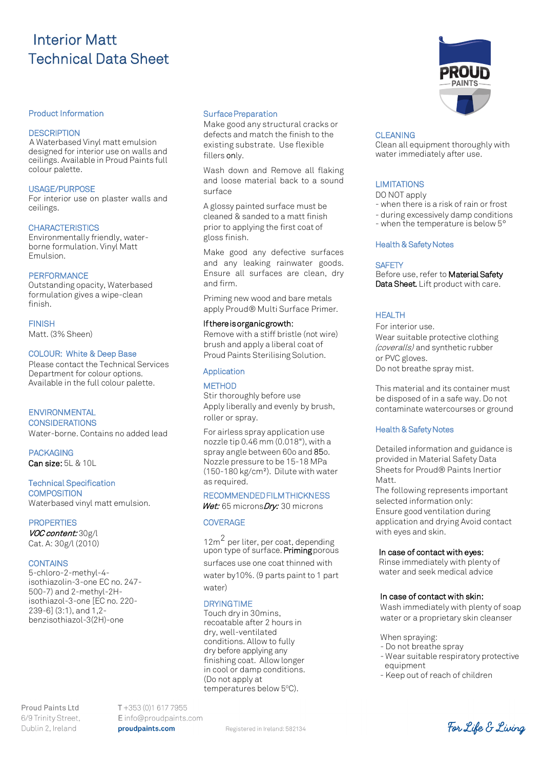# Interior Matt Technical Data Sheet

#### Product Information

#### **DESCRIPTION**

A Waterbased Vinyl matt emulsion designed for interior use on walls and ceilings. Available in Proud Paints full colour palette.

#### USAGE/PURPOSE

For interior use on plaster walls and ceilings.

#### **CHARACTERISTICS**

Environmentally friendly, waterborne formulation. Vinyl Matt Emulsion.

#### **PERFORMANCE**

Outstanding opacity, Waterbased formulation gives a wipe-clean finish.

#### FINISH

Matt. (3% Sheen)

#### COLOUR: White & Deep Base

Please contact the Technical Services Department for colour options. Available in the full colour palette.

#### **ENVIRONMENTAL**

#### **CONSIDERATIONS**

Water-borne. Contains no added lead

**PACKAGING** Can size: 5L & 10L

#### Technical Specification

**COMPOSITION** Waterbased vinyl matt emulsion.

#### **PROPERTIES**

VOC content: 30g/l Cat. A: 30g/l (2010)

#### **CONTAINS**

5-chloro-2-methyl-4 isothiazolin-3-one EC no. 247- 500-7) and 2-methyl-2Hisothiazol-3-one [EC no. 220- 239-6] (3:1), and 1,2 benzisothiazol-3(2H)-one

**Proud Paints Ltd** 6/9 Trinity Street, Dublin 2, Ireland

T+353 (0)1 617 7955 Einfo@proudpaints.com proudpaints.com

#### Surface Preparation

Make good any structural cracks or defects and match the finish to the existing substrate. Use flexible fillers only.

Wash down and Remove all flaking and loose material back to a sound surface

A glossy painted surface must be cleaned & sanded to a matt finish prior to applying the first coat of gloss finish.

Make good any defective surfaces and any leaking rainwater goods. Ensure all surfaces are clean, dry and firm.

Priming new wood and bare metals apply Proud® Multi Surface Primer.

### If there is organic growth:

Remove with a stiff bristle (not wire) brush and apply a liberal coat of Proud Paints Sterilising Solution.

#### Application

#### **METHOD**

Stir thoroughly before use Apply liberally and evenly by brush, roller or spray.

For airless spray application use nozzle tip 0.46 mm (0.018"), with a spray angle between 60o and 85o. Nozzle pressure to be 15-18 MPa (150-180 kg/cm²). Dilute with water as required.

## RECOMMENDED FILM THICKNESS

Wet: 65 micronsDry: 30 microns

#### **COVERAGE**

12m<sup>2</sup> per liter, per coat, depending upon type of surface. **Priming** porous

surfaces use one coat thinned with

water by10%. (9 parts paint to 1 part water)

#### **DRYING TIME**

Touch dry in 30mins, recoatable after 2 hours in dry, well-ventilated conditions. Allow to fully dry before applying any finishing coat. Allow longer in cool or damp conditions. (Do not apply at temperatures below 5°C).

#### **CLEANING**

Clean all equipment thoroughly with water immediately after use.

#### **LIMITATIONS**

DO NOT apply

- when there is a risk of rain or frost
- during excessively damp conditions
- when the temperature is below 5°

#### Health & Safety Notes

#### **SAFETY**

Before use, refer to Material Safety Data Sheet. Lift product with care.

#### HEALTH

For interior use. Wear suitable protective clothing (coveralls) and synthetic rubber or PVC gloves. Do not breathe spray mist.

This material and its container must be disposed of in a safe way. Do not contaminate watercourses or ground

#### Health & Safety Notes

Detailed information and guidance is provided in Material Safety Data Sheets for Proud® Paints Inertior Matt.

The following represents important selected information only: Ensure good ventilation during application and drying Avoid contact with eyes and skin.

#### In case of contact with eyes:

 Rinse immediately with plenty of water and seek medical advice

#### In case of contact with skin:

Wash immediately with plenty of soap water or a proprietary skin cleanser

When spraying:

- Do not breathe spray
- Wear suitable respiratory protective equipment
- Keep out of reach of children